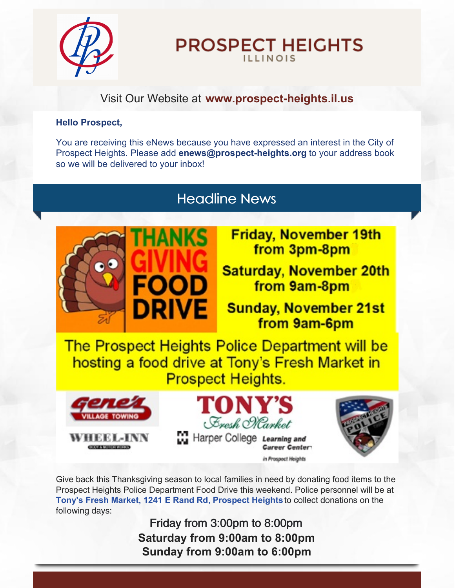

# **PROSPECT HEIGHTS ILLINOIS**

### Visit Our Website at **[www.prospect-heights.il.us](http://www.prospect-heights.il.us)**

#### **Hello Prospect,**

You are receiving this eNews because you have expressed an interest in the City of Prospect Heights. Please add **[enews@prospect-heights.org](mailto:enews@prospect-heights.org)** to your address book so we will be delivered to your inbox!

# Headline News



**Friday, November 19th** from 3pm-8pm

**Saturday, November 20th** from 9am-8pm

**Sunday, November 21st** from 9am-6pm

The Prospect Heights Police Department will be hosting a food drive at Tony's Fresh Market in **Prospect Heights.** 







Give back this Thanksgiving season to local families in need by donating food items to the Prospect Heights Police Department Food Drive this weekend. Police personnel will be at **Tony's Fresh Market, 1241 E Rand Rd, [Prospect](https://www.google.com/maps/place/Tony) Heights**to collect donations on the following days:

> Friday from 3:00pm to 8:00pm **Saturday from 9:00am to 8:00pm Sunday from 9:00am to 6:00pm**